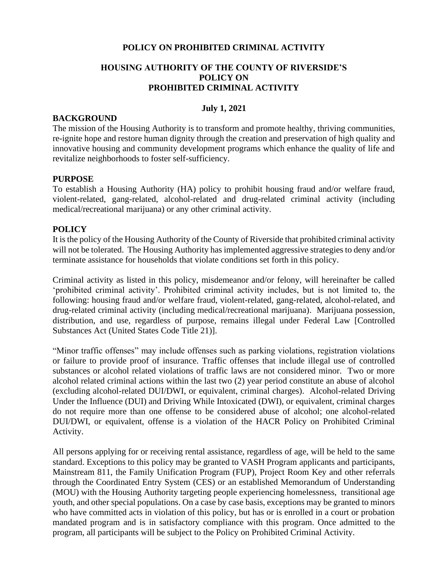# **POLICY ON PROHIBITED CRIMINAL ACTIVITY**

# **HOUSING AUTHORITY OF THE COUNTY OF RIVERSIDE'S POLICY ON PROHIBITED CRIMINAL ACTIVITY**

### **July 1, 2021**

### **BACKGROUND**

The mission of the Housing Authority is to transform and promote healthy, thriving communities, re-ignite hope and restore human dignity through the creation and preservation of high quality and innovative housing and community development programs which enhance the quality of life and revitalize neighborhoods to foster self-sufficiency.

### **PURPOSE**

To establish a Housing Authority (HA) policy to prohibit housing fraud and/or welfare fraud, violent-related, gang-related, alcohol-related and drug-related criminal activity (including medical/recreational marijuana) or any other criminal activity.

# **POLICY**

It is the policy of the Housing Authority of the County of Riverside that prohibited criminal activity will not be tolerated. The Housing Authority has implemented aggressive strategies to deny and/or terminate assistance for households that violate conditions set forth in this policy.

Criminal activity as listed in this policy, misdemeanor and/or felony, will hereinafter be called 'prohibited criminal activity'. Prohibited criminal activity includes, but is not limited to, the following: housing fraud and/or welfare fraud, violent-related, gang-related, alcohol-related, and drug-related criminal activity (including medical/recreational marijuana). Marijuana possession, distribution, and use, regardless of purpose, remains illegal under Federal Law [Controlled Substances Act (United States Code Title 21)].

"Minor traffic offenses" may include offenses such as parking violations, registration violations or failure to provide proof of insurance. Traffic offenses that include illegal use of controlled substances or alcohol related violations of traffic laws are not considered minor. Two or more alcohol related criminal actions within the last two (2) year period constitute an abuse of alcohol (excluding alcohol-related DUI/DWI, or equivalent, criminal charges). Alcohol-related Driving Under the Influence (DUI) and Driving While Intoxicated (DWI), or equivalent, criminal charges do not require more than one offense to be considered abuse of alcohol; one alcohol-related DUI/DWI, or equivalent, offense is a violation of the HACR Policy on Prohibited Criminal Activity.

All persons applying for or receiving rental assistance, regardless of age, will be held to the same standard. Exceptions to this policy may be granted to VASH Program applicants and participants, Mainstream 811, the Family Unification Program (FUP), Project Room Key and other referrals through the Coordinated Entry System (CES) or an established Memorandum of Understanding (MOU) with the Housing Authority targeting people experiencing homelessness, transitional age youth, and other special populations. On a case by case basis, exceptions may be granted to minors who have committed acts in violation of this policy, but has or is enrolled in a court or probation mandated program and is in satisfactory compliance with this program. Once admitted to the program, all participants will be subject to the Policy on Prohibited Criminal Activity.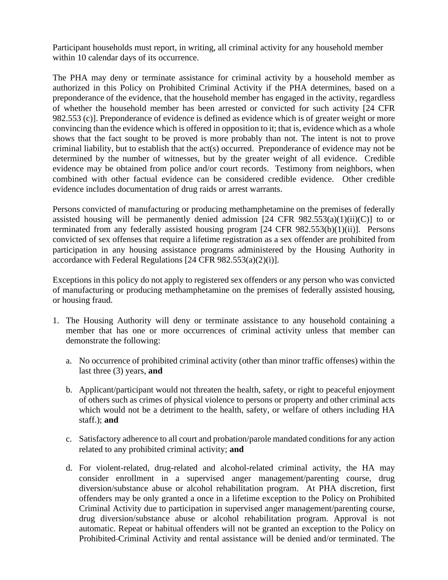Participant households must report, in writing, all criminal activity for any household member within 10 calendar days of its occurrence.

The PHA may deny or terminate assistance for criminal activity by a household member as authorized in this Policy on Prohibited Criminal Activity if the PHA determines, based on a preponderance of the evidence, that the household member has engaged in the activity, regardless of whether the household member has been arrested or convicted for such activity [24 CFR 982.553 (c)]. Preponderance of evidence is defined as evidence which is of greater weight or more convincing than the evidence which is offered in opposition to it; that is, evidence which as a whole shows that the fact sought to be proved is more probably than not. The intent is not to prove criminal liability, but to establish that the act(s) occurred. Preponderance of evidence may not be determined by the number of witnesses, but by the greater weight of all evidence. Credible evidence may be obtained from police and/or court records. Testimony from neighbors, when combined with other factual evidence can be considered credible evidence. Other credible evidence includes documentation of drug raids or arrest warrants.

Persons convicted of manufacturing or producing methamphetamine on the premises of federally assisted housing will be permanently denied admission  $[24 \text{ CFR } 982.553(a)(1)(ii)(C)]$  to or terminated from any federally assisted housing program [24 CFR 982.553(b)(1)(ii)]. Persons convicted of sex offenses that require a lifetime registration as a sex offender are prohibited from participation in any housing assistance programs administered by the Housing Authority in accordance with Federal Regulations [24 CFR 982.553(a)(2)(i)].

Exceptions in this policy do not apply to registered sex offenders or any person who was convicted of manufacturing or producing methamphetamine on the premises of federally assisted housing, or housing fraud.

- 1. The Housing Authority will deny or terminate assistance to any household containing a member that has one or more occurrences of criminal activity unless that member can demonstrate the following:
	- a. No occurrence of prohibited criminal activity (other than minor traffic offenses) within the last three (3) years, **and**
	- b. Applicant/participant would not threaten the health, safety, or right to peaceful enjoyment of others such as crimes of physical violence to persons or property and other criminal acts which would not be a detriment to the health, safety, or welfare of others including HA staff.); **and**
	- c. Satisfactory adherence to all court and probation/parole mandated conditions for any action related to any prohibited criminal activity; **and**
	- d. For violent-related, drug-related and alcohol-related criminal activity, the HA may consider enrollment in a supervised anger management/parenting course, drug diversion/substance abuse or alcohol rehabilitation program. At PHA discretion, first offenders may be only granted a once in a lifetime exception to the Policy on Prohibited Criminal Activity due to participation in supervised anger management/parenting course, drug diversion/substance abuse or alcohol rehabilitation program. Approval is not automatic. Repeat or habitual offenders will not be granted an exception to the Policy on Prohibited Criminal Activity and rental assistance will be denied and/or terminated. The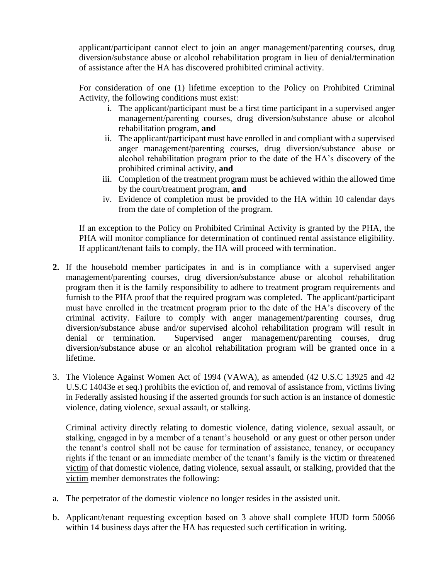applicant/participant cannot elect to join an anger management/parenting courses, drug diversion/substance abuse or alcohol rehabilitation program in lieu of denial/termination of assistance after the HA has discovered prohibited criminal activity.

For consideration of one (1) lifetime exception to the Policy on Prohibited Criminal Activity, the following conditions must exist:

- i. The applicant/participant must be a first time participant in a supervised anger management/parenting courses, drug diversion/substance abuse or alcohol rehabilitation program, **and**
- ii. The applicant/participant must have enrolled in and compliant with a supervised anger management/parenting courses, drug diversion/substance abuse or alcohol rehabilitation program prior to the date of the HA's discovery of the prohibited criminal activity, **and**
- iii. Completion of the treatment program must be achieved within the allowed time by the court/treatment program, **and**
- iv. Evidence of completion must be provided to the HA within 10 calendar days from the date of completion of the program.

If an exception to the Policy on Prohibited Criminal Activity is granted by the PHA, the PHA will monitor compliance for determination of continued rental assistance eligibility. If applicant/tenant fails to comply, the HA will proceed with termination.

- **2.** If the household member participates in and is in compliance with a supervised anger management/parenting courses, drug diversion/substance abuse or alcohol rehabilitation program then it is the family responsibility to adhere to treatment program requirements and furnish to the PHA proof that the required program was completed. The applicant/participant must have enrolled in the treatment program prior to the date of the HA's discovery of the criminal activity. Failure to comply with anger management/parenting courses, drug diversion/substance abuse and/or supervised alcohol rehabilitation program will result in denial or termination. Supervised anger management/parenting courses, drug diversion/substance abuse or an alcohol rehabilitation program will be granted once in a lifetime.
- 3. The Violence Against Women Act of 1994 (VAWA), as amended (42 U.S.C 13925 and 42 U.S.C 14043e et seq.) prohibits the eviction of, and removal of assistance from, victims living in Federally assisted housing if the asserted grounds for such action is an instance of domestic violence, dating violence, sexual assault, or stalking.

Criminal activity directly relating to domestic violence, dating violence, sexual assault, or stalking, engaged in by a member of a tenant's household or any guest or other person under the tenant's control shall not be cause for termination of assistance, tenancy, or occupancy rights if the tenant or an immediate member of the tenant's family is the victim or threatened victim of that domestic violence, dating violence, sexual assault, or stalking, provided that the victim member demonstrates the following:

- a. The perpetrator of the domestic violence no longer resides in the assisted unit.
- b. Applicant/tenant requesting exception based on 3 above shall complete HUD form 50066 within 14 business days after the HA has requested such certification in writing.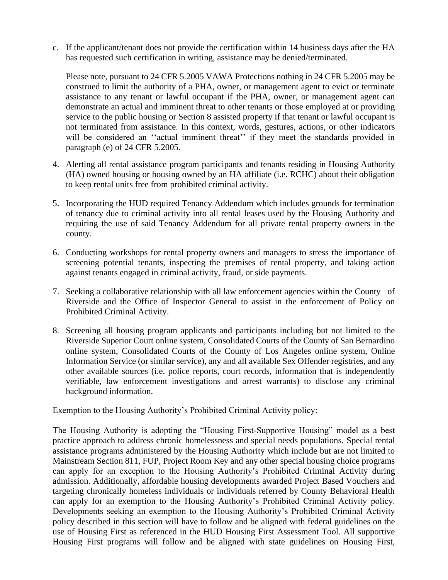c. If the applicant/tenant does not provide the certification within 14 business days after the HA has requested such certification in writing, assistance may be denied/terminated.

Please note, pursuant to 24 CFR 5.2005 VAWA Protections nothing in 24 CFR 5.2005 may be construed to limit the authority of a PHA, owner, or management agent to evict or terminate assistance to any tenant or lawful occupant if the PHA, owner, or management agent can demonstrate an actual and imminent threat to other tenants or those employed at or providing service to the public housing or Section 8 assisted property if that tenant or lawful occupant is not terminated from assistance. In this context, words, gestures, actions, or other indicators will be considered an "actual imminent threat" if they meet the standards provided in paragraph (e) of 24 CFR 5.2005.

- 4. Alerting all rental assistance program participants and tenants residing in Housing Authority (HA) owned housing or housing owned by an HA affiliate (i.e. RCHC) about their obligation to keep rental units free from prohibited criminal activity.
- 5. Incorporating the HUD required Tenancy Addendum which includes grounds for termination of tenancy due to criminal activity into all rental leases used by the Housing Authority and requiring the use of said Tenancy Addendum for all private rental property owners in the county.
- 6. Conducting workshops for rental property owners and managers to stress the importance of screening potential tenants, inspecting the premises of rental property, and taking action against tenants engaged in criminal activity, fraud, or side payments.
- 7. Seeking a collaborative relationship with all law enforcement agencies within the County of Riverside and the Office of Inspector General to assist in the enforcement of Policy on Prohibited Criminal Activity.
- 8. Screening all housing program applicants and participants including but not limited to the Riverside Superior Court online system, Consolidated Courts of the County of San Bernardino online system, Consolidated Courts of the County of Los Angeles online system, Online Information Service (or similar service), any and all available Sex Offender registries, and any other available sources (i.e. police reports, court records, information that is independently verifiable, law enforcement investigations and arrest warrants) to disclose any criminal background information.

Exemption to the Housing Authority's Prohibited Criminal Activity policy:

The Housing Authority is adopting the "Housing First-Supportive Housing" model as a best practice approach to address chronic homelessness and special needs populations. Special rental assistance programs administered by the Housing Authority which include but are not limited to Mainstream Section 811, FUP, Project Room Key and any other special housing choice programs can apply for an exception to the Housing Authority's Prohibited Criminal Activity during admission. Additionally, affordable housing developments awarded Project Based Vouchers and targeting chronically homeless individuals or individuals referred by County Behavioral Health can apply for an exemption to the Housing Authority's Prohibited Criminal Activity policy. Developments seeking an exemption to the Housing Authority's Prohibited Criminal Activity policy described in this section will have to follow and be aligned with federal guidelines on the use of Housing First as referenced in the HUD Housing First Assessment Tool. All supportive Housing First programs will follow and be aligned with state guidelines on Housing First,